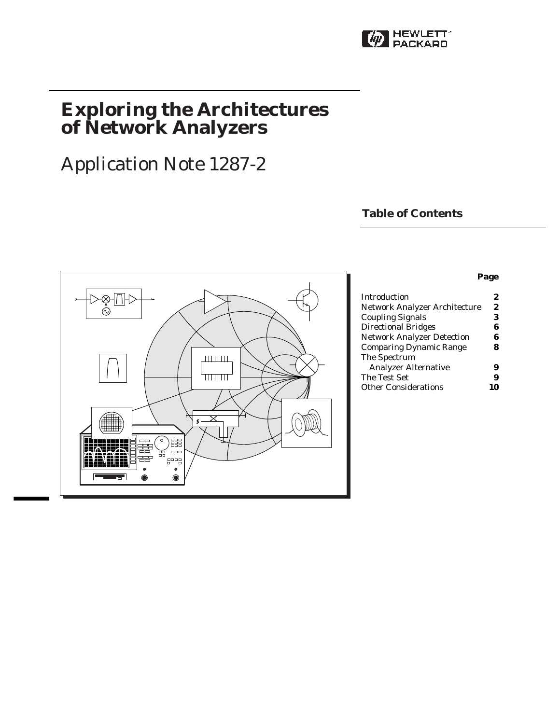

# **Exploring the Architectures of Network Analyzers**

# Application Note 1287-2

# **Table of Contents**



### **Page**

| <b>Introduction</b>               | 2 |
|-----------------------------------|---|
| Network Analyzer Architecture     | 2 |
| <b>Coupling Signals</b>           | 3 |
| <b>Directional Bridges</b>        | 6 |
| <b>Network Analyzer Detection</b> | 6 |
| <b>Comparing Dynamic Range</b>    | ጸ |
| The Spectrum                      |   |
| <b>Analyzer Alternative</b>       | 9 |
| The Test Set                      | 9 |
| <b>Other Considerations</b>       |   |
|                                   |   |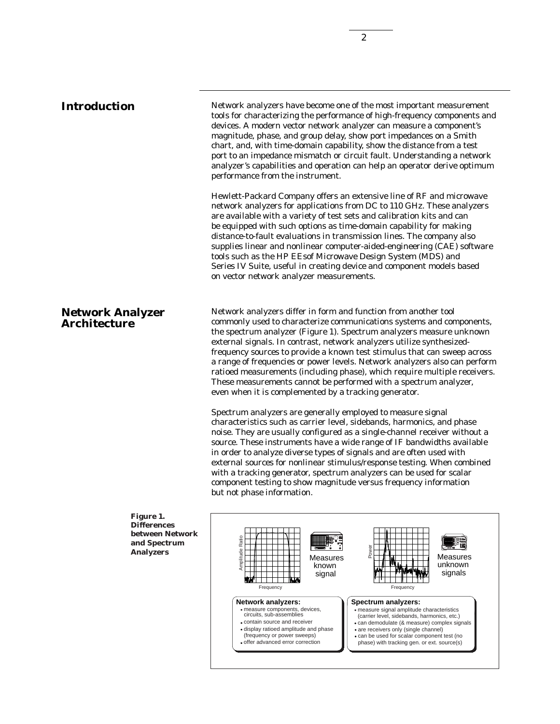**Introduction** Network analyzers have become one of the most important measurement tools for characterizing the performance of high-frequency components and devices. A modern vector network analyzer can measure a component's magnitude, phase, and group delay, show port impedances on a Smith chart, and, with time-domain capability, show the distance from a test port to an impedance mismatch or circuit fault. Understanding a network analyzer's capabilities and operation can help an operator derive optimum performance from the instrument.

> Hewlett-Packard Company offers an extensive line of RF and microwave network analyzers for applications from DC to 110 GHz. These analyzers are available with a variety of test sets and calibration kits and can be equipped with such options as time-domain capability for making distance-to-fault evaluations in transmission lines. The company also supplies linear and nonlinear computer-aided-engineering (CAE) software tools such as the HP EEsof Microwave Design System (MDS) and Series IV Suite, useful in creating device and component models based on vector network analyzer measurements.

## **Network Analyzer Architecture**

Network analyzers differ in form and function from another tool commonly used to characterize communications systems and components, the spectrum analyzer (Figure 1). Spectrum analyzers measure unknown external signals. In contrast, network analyzers utilize synthesizedfrequency sources to provide a known test stimulus that can sweep across a range of frequencies or power levels. Network analyzers also can perform ratioed measurements (including phase), which require multiple receivers. These measurements cannot be performed with a spectrum analyzer, even when it is complemented by a tracking generator.

Spectrum analyzers are generally employed to measure signal characteristics such as carrier level, sidebands, harmonics, and phase noise. They are usually configured as a single-channel receiver without a source. These instruments have a wide range of IF bandwidths available in order to analyze diverse types of signals and are often used with external sources for nonlinear stimulus/response testing. When combined with a tracking generator, spectrum analyzers can be used for scalar component testing to show magnitude versus frequency information but not phase information.



**Figure 1. Differences between Network and Spectrum Analyzers**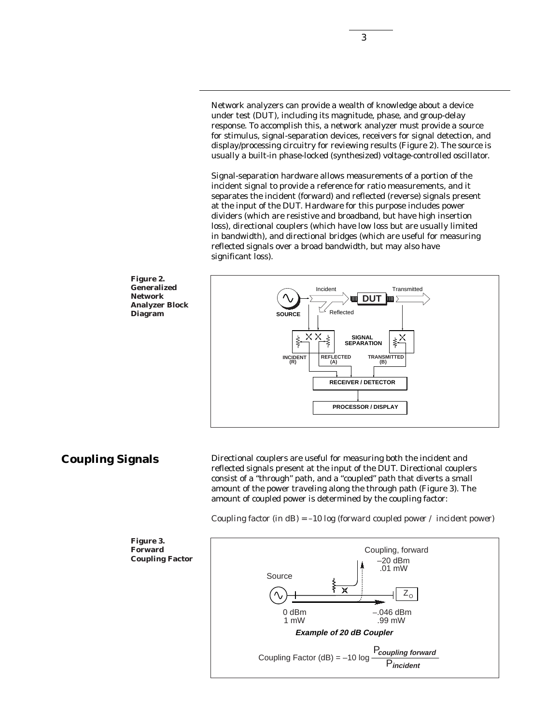Network analyzers can provide a wealth of knowledge about a device under test (DUT), including its magnitude, phase, and group-delay response. To accomplish this, a network analyzer must provide a source for stimulus, signal-separation devices, receivers for signal detection, and display/processing circuitry for reviewing results (Figure 2). The source is usually a built-in phase-locked (synthesized) voltage-controlled oscillator.

Signal-separation hardware allows measurements of a portion of the incident signal to provide a reference for ratio measurements, and it separates the incident (forward) and reflected (reverse) signals present at the input of the DUT. Hardware for this purpose includes power dividers (which are resistive and broadband, but have high insertion loss), directional couplers (which have low loss but are usually limited in bandwidth), and directional bridges (which are useful for measuring reflected signals over a broad bandwidth, but may also have significant loss).



**Coupling Signals**

Directional couplers are useful for measuring both the incident and reflected signals present at the input of the DUT. Directional couplers consist of a "through" path, and a "coupled" path that diverts a small amount of the power traveling along the through path (Figure 3). The amount of coupled power is determined by the coupling factor:

*Coupling factor (in dB) = –10 log (forward coupled power / incident power)*



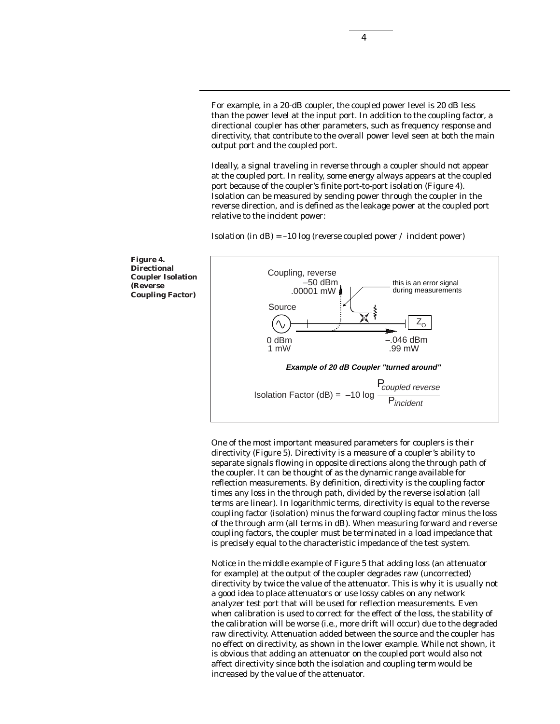For example, in a 20-dB coupler, the coupled power level is 20 dB less than the power level at the input port. In addition to the coupling factor, a directional coupler has other parameters, such as frequency response and directivity, that contribute to the overall power level seen at both the main output port and the coupled port.

Ideally, a signal traveling in reverse through a coupler should not appear at the coupled port. In reality, some energy always appears at the coupled port because of the coupler's finite port-to-port isolation (Figure 4). Isolation can be measured by sending power through the coupler in the reverse direction, and is defined as the leakage power at the coupled port relative to the incident power:



*Isolation (in dB) = –10 log (reverse coupled power / incident power)*

One of the most important measured parameters for couplers is their directivity (Figure 5). Directivity is a measure of a coupler's ability to separate signals flowing in opposite directions along the through path of the coupler. It can be thought of as the dynamic range available for reflection measurements. By definition, directivity is the coupling factor times any loss in the through path, divided by the reverse isolation (all terms are linear). In logarithmic terms, directivity is equal to the reverse coupling factor (isolation) minus the forward coupling factor minus the loss of the through arm (all terms in dB). When measuring forward and reverse coupling factors, the coupler must be terminated in a load impedance that is precisely equal to the characteristic impedance of the test system.

Notice in the middle example of Figure 5 that adding loss (an attenuator for example) at the output of the coupler degrades raw (uncorrected) directivity by twice the value of the attenuator. This is why it is usually not a good idea to place attenuators or use lossy cables on any network analyzer test port that will be used for reflection measurements. Even when calibration is used to correct for the effect of the loss, the stability of the calibration will be worse (i.e., more drift will occur) due to the degraded raw directivity. Attenuation added between the source and the coupler has no effect on directivity, as shown in the lower example. While not shown, it is obvious that adding an attenuator on the coupled port would also not affect directivity since both the isolation and coupling term would be increased by the value of the attenuator.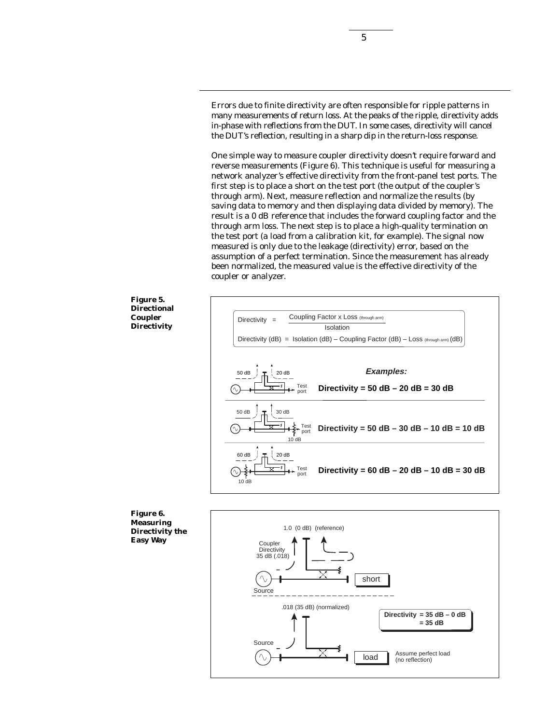Errors due to finite directivity are often responsible for ripple patterns in many measurements of return loss. At the peaks of the ripple, directivity adds in-phase with reflections from the DUT. In some cases, directivity will cancel the DUT's reflection, resulting in a sharp dip in the return-loss response.

One simple way to measure coupler directivity doesn't require forward and reverse measurements (Figure 6). This technique is useful for measuring a network analyzer's effective directivity from the front-panel test ports. The first step is to place a short on the test port (the output of the coupler's through arm). Next, measure reflection and normalize the results (by saving data to memory and then displaying data divided by memory). The result is a 0 dB reference that includes the forward coupling factor and the through arm loss. The next step is to place a high-quality termination on the test port (a load from a calibration kit, for example). The signal now measured is only due to the leakage (directivity) error, based on the assumption of a perfect termination. Since the measurement has already been normalized, the measured value is the effective directivity of the coupler or analyzer.







**Measuring Directivity the Easy Way**

**Figure 6.**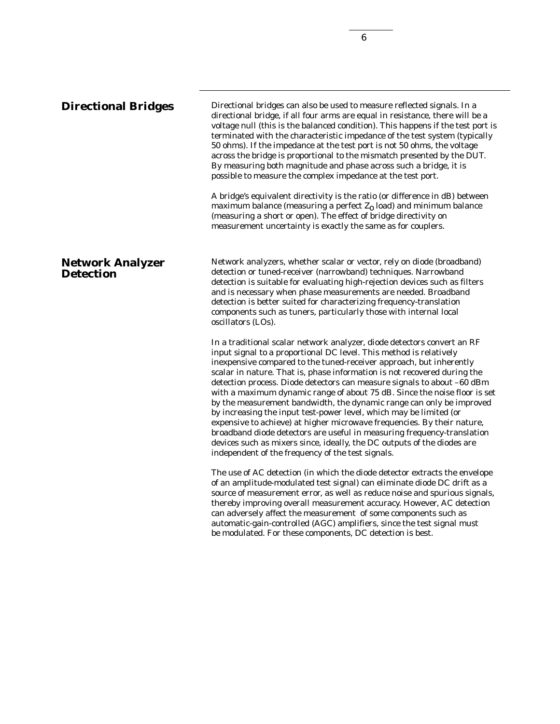**Network Analyzer Detection** Network analyzers, whether scalar or vector, rely on diode (broadband) detection or tuned-receiver (narrowband) techniques. Narrowband detection is suitable for evaluating high-rejection devices such as filters and is necessary when phase measurements are needed. Broadband detection is better suited for characterizing frequency-translation components such as tuners, particularly those with internal local oscillators (LOs). In a traditional scalar network analyzer, diode detectors convert an RF input signal to a proportional DC level. This method is relatively **Directional Bridges** Directional bridges can also be used to measure reflected signals. In a directional bridge, if all four arms are equal in resistance, there will be a voltage null (this is the balanced condition). This happens if the test port is terminated with the characteristic impedance of the test system (typically 50 ohms). If the impedance at the test port is not 50 ohms, the voltage across the bridge is proportional to the mismatch presented by the DUT. By measuring both magnitude and phase across such a bridge, it is possible to measure the complex impedance at the test port. A bridge's equivalent directivity is the ratio (or difference in dB) between maximum balance (measuring a perfect  $Z_0$  load) and minimum balance (measuring a short or open). The effect of bridge directivity on measurement uncertainty is exactly the same as for couplers.

inexpensive compared to the tuned-receiver approach, but inherently scalar in nature. That is, phase information is not recovered during the detection process. Diode detectors can measure signals to about –60 dBm with a maximum dynamic range of about 75 dB. Since the noise floor is set by the measurement bandwidth, the dynamic range can only be improved by increasing the input test-power level, which may be limited (or expensive to achieve) at higher microwave frequencies. By their nature, broadband diode detectors are useful in measuring frequency-translation devices such as mixers since, ideally, the DC outputs of the diodes are independent of the frequency of the test signals.

The use of AC detection (in which the diode detector extracts the envelope of an amplitude-modulated test signal) can eliminate diode DC drift as a source of measurement error, as well as reduce noise and spurious signals, thereby improving overall measurement accuracy. However, AC detection can adversely affect the measurement of some components such as automatic-gain-controlled (AGC) amplifiers, since the test signal must be modulated. For these components, DC detection is best.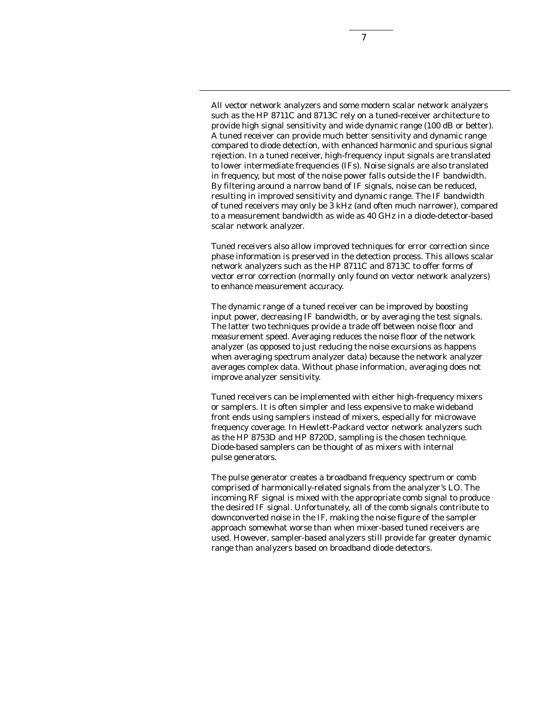7

All vector network analyzers and some modern scalar network analyzers such as the HP 8711C and 8713C rely on a tuned-receiver architecture to provide high signal sensitivity and wide dynamic range (100 dB or better). A tuned receiver can provide much better sensitivity and dynamic range compared to diode detection, with enhanced harmonic and spurious signal rejection. In a tuned receiver, high-frequency input signals are translated to lower intermediate frequencies (IFs). Noise signals are also translated in frequency, but most of the noise power falls outside the IF bandwidth. By filtering around a narrow band of IF signals, noise can be reduced, resulting in improved sensitivity and dynamic range. The IF bandwidth of tuned receivers may only be 3 kHz (and often much narrower), compared to a measurement bandwidth as wide as 40 GHz in a diode-detector-based scalar network analyzer.

Tuned receivers also allow improved techniques for error correction since phase information is preserved in the detection process. This allows scalar network analyzers such as the HP 8711C and 8713C to offer forms of vector error correction (normally only found on vector network analyzers) to enhance measurement accuracy.

The dynamic range of a tuned receiver can be improved by boosting input power, decreasing IF bandwidth, or by averaging the test signals. The latter two techniques provide a trade off between noise floor and measurement speed. Averaging reduces the noise floor of the network analyzer (as opposed to just reducing the noise excursions as happens when averaging spectrum analyzer data) because the network analyzer averages complex data. Without phase information, averaging does not improve analyzer sensitivity.

Tuned receivers can be implemented with either high-frequency mixers or samplers. It is often simpler and less expensive to make wideband front ends using samplers instead of mixers, especially for microwave frequency coverage. In Hewlett-Packard vector network analyzers such as the HP 8753D and HP 8720D, sampling is the chosen technique. Diode-based samplers can be thought of as mixers with internal pulse generators.

The pulse generator creates a broadband frequency spectrum or comb comprised of harmonically-related signals from the analyzer's LO. The incoming RF signal is mixed with the appropriate comb signal to produce the desired IF signal. Unfortunately, all of the comb signals contribute to downconverted noise in the IF, making the noise figure of the sampler approach somewhat worse than when mixer-based tuned receivers are used. However, sampler-based analyzers still provide far greater dynamic range than analyzers based on broadband diode detectors.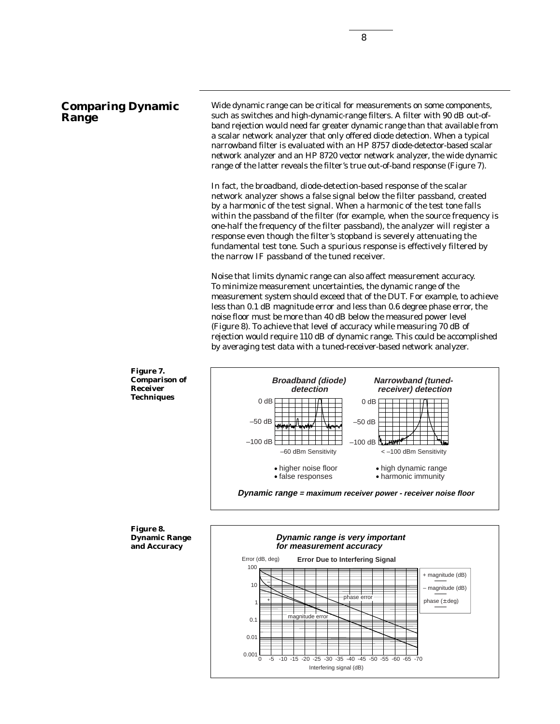# **Comparing Dynamic Range**

Wide dynamic range can be critical for measurements on some components, such as switches and high-dynamic-range filters. A filter with 90 dB out-ofband rejection would need far greater dynamic range than that available from a scalar network analyzer that only offered diode detection. When a typical narrowband filter is evaluated with an HP 8757 diode-detector-based scalar network analyzer and an HP 8720 vector network analyzer, the wide dynamic range of the latter reveals the filter's true out-of-band response (Figure 7).

In fact, the broadband, diode-detection-based response of the scalar network analyzer shows a false signal below the filter passband, created by a harmonic of the test signal. When a harmonic of the test tone falls within the passband of the filter (for example, when the source frequency is one-half the frequency of the filter passband), the analyzer will register a response even though the filter's stopband is severely attenuating the fundamental test tone. Such a spurious response is effectively filtered by the narrow IF passband of the tuned receiver.

Noise that limits dynamic range can also affect measurement accuracy. To minimize measurement uncertainties, the dynamic range of the measurement system should exceed that of the DUT. For example, to achieve less than 0.1 dB magnitude error and less than 0.6 degree phase error, the noise floor must be more than 40 dB below the measured power level (Figure 8). To achieve that level of accuracy while measuring 70 dB of rejection would require 110 dB of dynamic range. This could be accomplished by averaging test data with a tuned-receiver-based network analyzer.



#### **Figure 8. Dynamic Range and Accuracy**

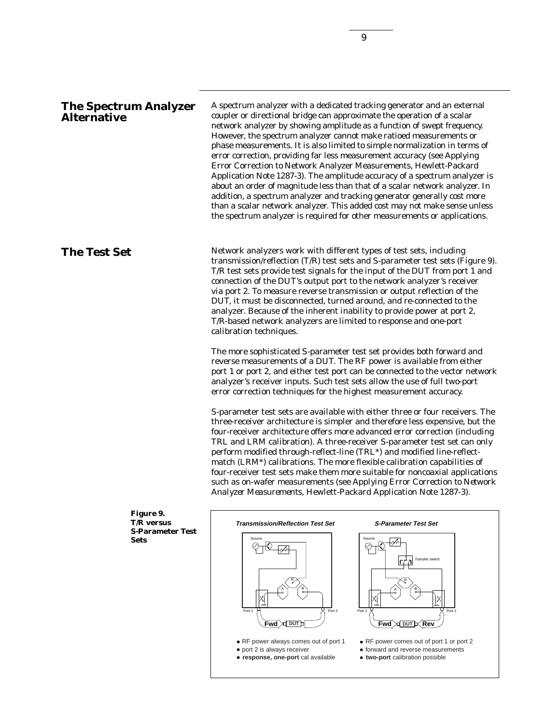A spectrum analyzer with a dedicated tracking generator and an external coupler or directional bridge can approximate the operation of a scalar network analyzer by showing amplitude as a function of swept frequency. However, the spectrum analyzer cannot make ratioed measurements or phase measurements. It is also limited to simple normalization in terms of error correction, providing far less measurement accuracy (see Applying Error Correction to Network Analyzer Measurements, Hewlett-Packard Application Note 1287-3). The amplitude accuracy of a spectrum analyzer is about an order of magnitude less than that of a scalar network analyzer. In addition, a spectrum analyzer and tracking generator generally cost more than a scalar network analyzer. This added cost may not make sense unless the spectrum analyzer is required for other measurements or applications.

**The Test Set** Network analyzers work with different types of test sets, including transmission/reflection (T/R) test sets and S-parameter test sets (Figure 9). T/R test sets provide test signals for the input of the DUT from port 1 and connection of the DUT's output port to the network analyzer's receiver via port 2. To measure reverse transmission or output reflection of the DUT, it must be disconnected, turned around, and re-connected to the analyzer. Because of the inherent inability to provide power at port 2, T/R-based network analyzers are limited to response and one-port calibration techniques.

> The more sophisticated S-parameter test set provides both forward and reverse measurements of a DUT. The RF power is available from either port 1 or port 2, and either test port can be connected to the vector network analyzer's receiver inputs. Such test sets allow the use of full two-port error correction techniques for the highest measurement accuracy.

> S-parameter test sets are available with either three or four receivers. The three-receiver architecture is simpler and therefore less expensive, but the four-receiver architecture offers more advanced error correction (including TRL and LRM calibration). A three-receiver S-parameter test set can only perform modified through-reflect-line (TRL\*) and modified line-reflectmatch (LRM\*) calibrations. The more flexible calibration capabilities of four-receiver test sets make them more suitable for noncoaxial applications such as on-wafer measurements (see *Applying Error Correction to Network Analyzer Measurements*, Hewlett-Packard Application Note 1287-3).

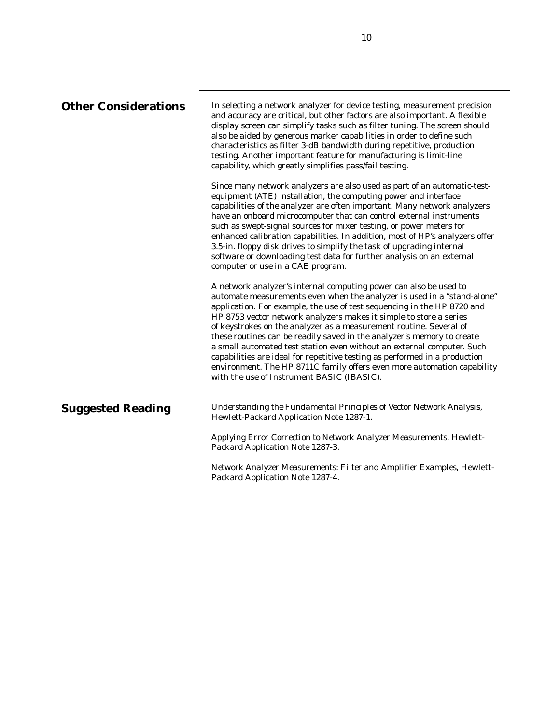| <b>Other Considerations</b> | In selecting a network analyzer for device testing, measurement precision<br>and accuracy are critical, but other factors are also important. A flexible<br>display screen can simplify tasks such as filter tuning. The screen should<br>also be aided by generous marker capabilities in order to define such<br>characteristics as filter 3-dB bandwidth during repetitive, production<br>testing. Another important feature for manufacturing is limit-line<br>capability, which greatly simplifies pass/fail testing.                                                                                                                                                                                                     |
|-----------------------------|--------------------------------------------------------------------------------------------------------------------------------------------------------------------------------------------------------------------------------------------------------------------------------------------------------------------------------------------------------------------------------------------------------------------------------------------------------------------------------------------------------------------------------------------------------------------------------------------------------------------------------------------------------------------------------------------------------------------------------|
|                             | Since many network analyzers are also used as part of an automatic-test-<br>equipment (ATE) installation, the computing power and interface<br>capabilities of the analyzer are often important. Many network analyzers<br>have an onboard microcomputer that can control external instruments<br>such as swept-signal sources for mixer testing, or power meters for<br>enhanced calibration capabilities. In addition, most of HP's analyzers offer<br>3.5-in. floppy disk drives to simplify the task of upgrading internal<br>software or downloading test data for further analysis on an external<br>computer or use in a CAE program.                                                                                   |
|                             | A network analyzer's internal computing power can also be used to<br>automate measurements even when the analyzer is used in a "stand-alone"<br>application. For example, the use of test sequencing in the HP 8720 and<br>HP 8753 vector network analyzers makes it simple to store a series<br>of keystrokes on the analyzer as a measurement routine. Several of<br>these routines can be readily saved in the analyzer's memory to create<br>a small automated test station even without an external computer. Such<br>capabilities are ideal for repetitive testing as performed in a production<br>environment. The HP 8711C family offers even more automation capability<br>with the use of Instrument BASIC (IBASIC). |
| <b>Suggested Reading</b>    | Understanding the Fundamental Principles of Vector Network Analysis,<br>Hewlett-Packard Application Note 1287-1.                                                                                                                                                                                                                                                                                                                                                                                                                                                                                                                                                                                                               |
|                             | Applying Error Correction to Network Analyzer Measurements, Hewlett-<br>Packard Application Note 1287-3.                                                                                                                                                                                                                                                                                                                                                                                                                                                                                                                                                                                                                       |
|                             | Network Analyzer Measurements: Filter and Amplifier Examples, Hewlett-<br>Packard Application Note 1287-4.                                                                                                                                                                                                                                                                                                                                                                                                                                                                                                                                                                                                                     |